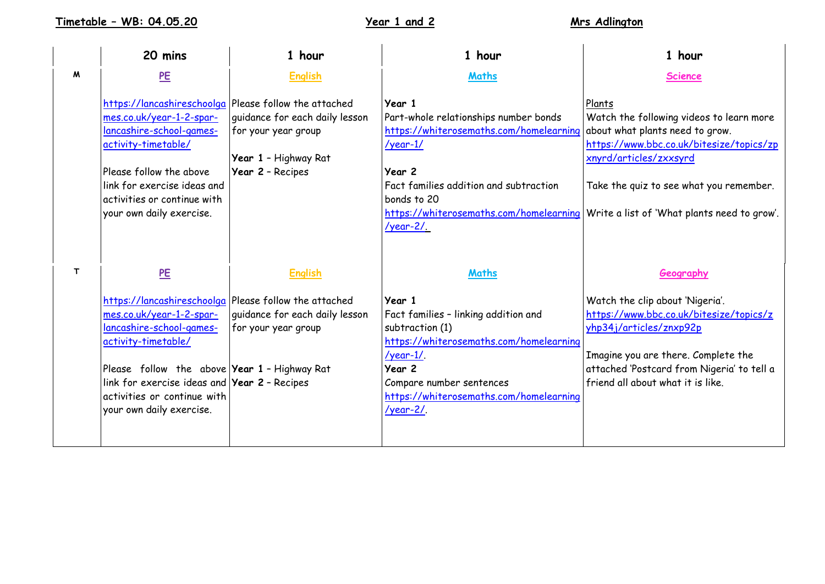**Timetable – WB: 04.05.20 Year 1 and 2 Mrs Adlington**

|              | 20 mins                                                                                                                                                                                                                                                                                                | 1 hour                                                                                            | 1 hour                                                                                                                                                                                                                                            | 1 hour                                                                                                                                                                                                                                                                                          |
|--------------|--------------------------------------------------------------------------------------------------------------------------------------------------------------------------------------------------------------------------------------------------------------------------------------------------------|---------------------------------------------------------------------------------------------------|---------------------------------------------------------------------------------------------------------------------------------------------------------------------------------------------------------------------------------------------------|-------------------------------------------------------------------------------------------------------------------------------------------------------------------------------------------------------------------------------------------------------------------------------------------------|
| M            | PE                                                                                                                                                                                                                                                                                                     | <b>English</b>                                                                                    | <b>Maths</b>                                                                                                                                                                                                                                      | <b>Science</b>                                                                                                                                                                                                                                                                                  |
|              | https://lancashireschoolga Please follow the attached<br>mes.co.uk/year-1-2-spar-<br>lancashire-school-games-<br>activity-timetable/<br>Please follow the above<br>link for exercise ideas and<br>activities or continue with<br>your own daily exercise.                                              | guidance for each daily lesson<br>for your year group<br>Year 1 - Highway Rat<br>Year 2 - Recipes | Year 1<br>Part-whole relationships number bonds<br>https://whiterosemaths.com/homelearning<br>$\frac{\gamma}{2}$<br>Year 2<br>Fact families addition and subtraction<br>bonds to 20<br><u>/year-2/.</u>                                           | Plants<br>Watch the following videos to learn more<br>about what plants need to grow.<br>https://www.bbc.co.uk/bitesize/topics/zp<br>xnyrd/articles/zxxsyrd<br>Take the quiz to see what you remember.<br>https://whiterosemaths.com/homelearning   Write a list of 'What plants need to grow'. |
| $\mathsf{T}$ | PE                                                                                                                                                                                                                                                                                                     | <b>English</b>                                                                                    | <b>Maths</b>                                                                                                                                                                                                                                      | Geography                                                                                                                                                                                                                                                                                       |
|              | https://lancashireschoolga Please follow the attached<br>mes.co.uk/year-1-2-spar-<br>lancashire-school-games-<br>activity-timetable/<br>Please follow the above Year 1 - Highway Rat<br>link for exercise ideas and <b>Year 2</b> - Recipes<br>activities or continue with<br>your own daily exercise. | guidance for each daily lesson<br>for your year group                                             | Year 1<br>Fact families - linking addition and<br>subtraction (1)<br>https://whiterosemaths.com/homelearning<br>$\frac{\gamma}{2}$ /year-1/.<br>Year 2<br>Compare number sentences<br>https://whiterosemaths.com/homelearning<br>$\gamma$ ear-2/. | Watch the clip about 'Nigeria'.<br>https://www.bbc.co.uk/bitesize/topics/z<br>yhp34j/articles/znxp92p<br>Imagine you are there. Complete the<br>attached 'Postcard from Nigeria' to tell a<br>friend all about what it is like.                                                                 |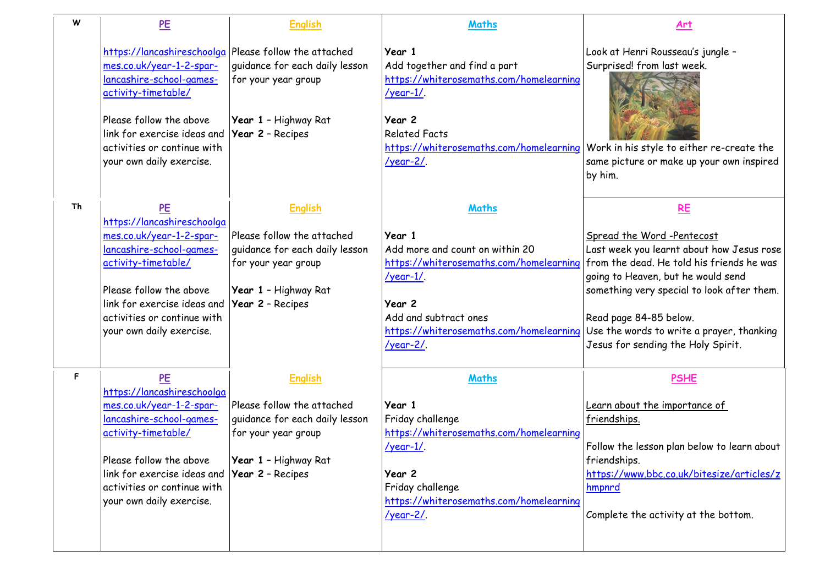| W  | PE                                                                                                                                                                                                                                          | <b>English</b>                                                                                                                                    | Maths                                                                                                                                                                                                                                                                                 | <u>Art</u>                                                                                                                                                                                                                                                                           |
|----|---------------------------------------------------------------------------------------------------------------------------------------------------------------------------------------------------------------------------------------------|---------------------------------------------------------------------------------------------------------------------------------------------------|---------------------------------------------------------------------------------------------------------------------------------------------------------------------------------------------------------------------------------------------------------------------------------------|--------------------------------------------------------------------------------------------------------------------------------------------------------------------------------------------------------------------------------------------------------------------------------------|
|    | https://lancashireschoolga<br>mes.co.uk/year-1-2-spar-<br>lancashire-school-games-<br>activity-timetable/<br>Please follow the above<br>link for exercise ideas and<br>activities or continue with<br>your own daily exercise.              | Please follow the attached<br>quidance for each daily lesson<br>for your year group<br>Year 1 - Highway Rat<br>Year 2 - Recipes                   | Year 1<br>Add together and find a part<br>https://whiterosemaths.com/homelearning<br>$\frac{\gamma}{2}$ /year-1/.<br>Year 2<br><b>Related Facts</b><br>https://whiterosemaths.com/homelearning Work in his style to either re-create the<br>$\frac{\gamma}{2}$ /year-2/.              | Look at Henri Rousseau's jungle -<br>Surprised! from last week.<br>same picture or make up your own inspired<br>by him.                                                                                                                                                              |
| Th | <b>PE</b><br>https://lancashireschoolga<br>mes.co.uk/year-1-2-spar-<br>lancashire-school-games-<br>activity-timetable/<br>Please follow the above<br>link for exercise ideas and<br>activities or continue with<br>your own daily exercise. | <b>English</b><br>Please follow the attached<br>guidance for each daily lesson<br>for your year group<br>Year 1 - Highway Rat<br>Year 2 - Recipes | Maths<br>Year 1<br>Add more and count on within 20<br>https://whiterosemaths.com/homelearning<br>$\frac{\gamma}{2}$ /year-1/.<br>Year 2<br>Add and subtract ones<br>https://whiterosemaths.com/homelearning Use the words to write a prayer, thanking<br>$\frac{\gamma}{2}$ /year-2/. | <b>RE</b><br>Spread the Word-Pentecost<br>Last week you learnt about how Jesus rose<br>from the dead. He told his friends he was<br>going to Heaven, but he would send<br>something very special to look after them.<br>Read page 84-85 below.<br>Jesus for sending the Holy Spirit. |
| F  | PE<br>https://lancashireschoolga<br>mes.co.uk/year-1-2-spar-<br>lancashire-school-games-<br>activity-timetable/<br>Please follow the above<br>link for exercise ideas and<br>activities or continue with<br>your own daily exercise.        | <b>English</b><br>Please follow the attached<br>guidance for each daily lesson<br>for your year group<br>Year 1 - Highway Rat<br>Year 2 - Recipes | Maths<br>Year 1<br>Friday challenge<br>https://whiterosemaths.com/homelearning<br>$\frac{\gamma}{2}$ /year-1/.<br>Year 2<br>Friday challenge<br>https://whiterosemaths.com/homelearning<br>$\frac{\gamma}{2}$ /year-2/.                                                               | <b>PSHE</b><br>Learn about the importance of<br>friendships.<br>Follow the lesson plan below to learn about<br>friendships.<br>https://www.bbc.co.uk/bitesize/articles/z<br>hmpnrd<br>Complete the activity at the bottom.                                                           |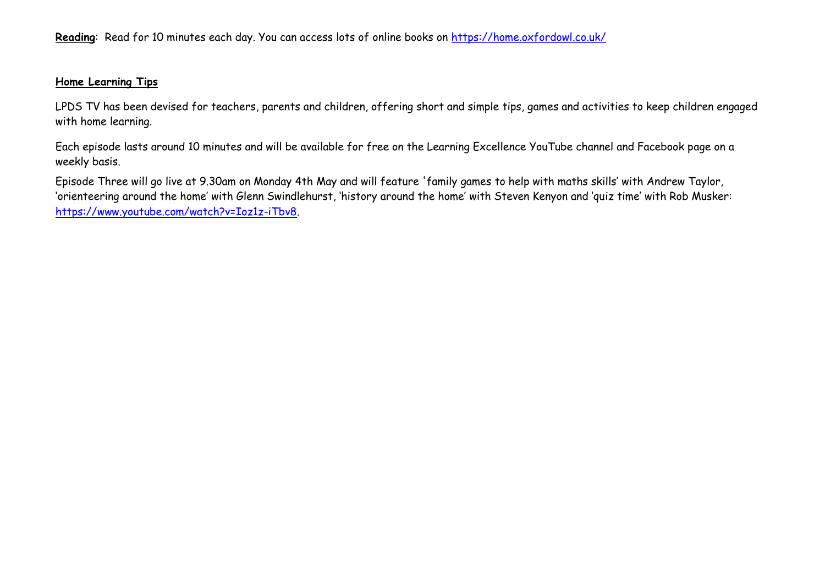## **Home Learning Tips**

LPDS TV has been devised for teachers, parents and children, offering short and simple tips, games and activities to keep children engaged with home learning.

Each episode lasts around 10 minutes and will be available for free on the Learning Excellence YouTube channel and Facebook page on a weekly basis.

Episode Three will go live at 9.30am on Monday 4th May and will feature 'family games to help with maths skills' with Andrew Taylor, 'orienteering around the home' with Glenn Swindlehurst, 'history around the home' with Steven Kenyon and 'quiz time' with Rob Musker: [https://www.youtube.com/watch?v=Ioz1z-iTbv8.](https://www.youtube.com/watch?v=Ioz1z-iTbv8)